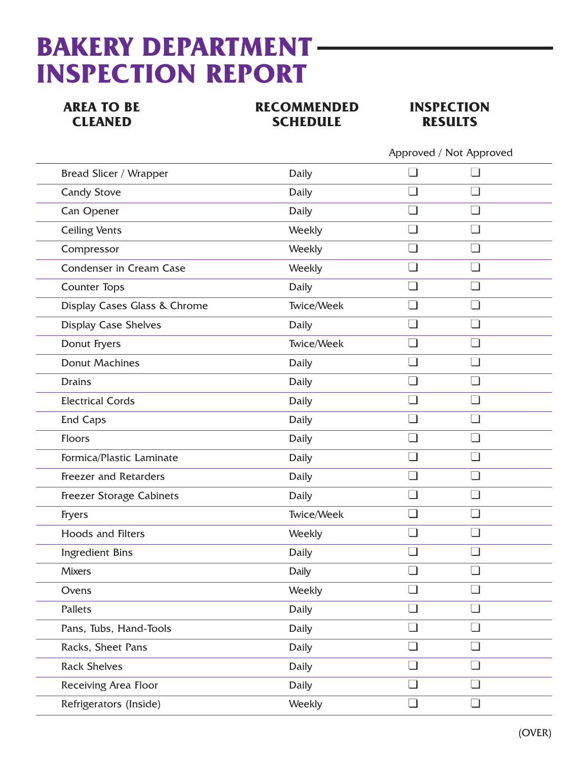## **BAKERY DEPARTMENT INSPECTION REPORT**

**AREA TO BE RECOMMENDED INSPECTION<br>CLEANED SCHEDULE RESULTS CHEDULE** RESULTS



|                                 |              | Approved / Not Approved |        |  |
|---------------------------------|--------------|-------------------------|--------|--|
| <b>Bread Slicer / Wrapper</b>   | Daily        |                         |        |  |
| <b>Candy Stove</b>              | <b>Daily</b> |                         |        |  |
| Can Opener                      | Daily        | - 1                     | - 1    |  |
| <b>Ceiling Vents</b>            | Weekly       |                         |        |  |
| Compressor                      | Weekly       |                         |        |  |
| Condenser in Cream Case         | Weekly       |                         |        |  |
| <b>Counter Tops</b>             | <b>Daily</b> | - 1                     |        |  |
| Display Cases Glass & Chrome    | Twice/Week   |                         |        |  |
| <b>Display Case Shelves</b>     | Daily        |                         |        |  |
| Donut Fryers                    | Twice/Week   | - 1                     |        |  |
| <b>Donut Machines</b>           | <b>Daily</b> |                         |        |  |
|                                 | Daily        | ⊣                       |        |  |
| <b>Electrical Cords</b>         | <b>Daily</b> | - 1                     |        |  |
| <b>End Caps</b>                 | Daily        |                         |        |  |
|                                 | Daily        | ⊣                       |        |  |
| Formica/Plastic Laminate        | <b>Daily</b> |                         |        |  |
| <b>Freezer and Retarders</b>    | Daily        | - 1                     |        |  |
| <b>Freezer Storage Cabinets</b> | <b>Daily</b> | ┓                       |        |  |
|                                 | Twice/Week   |                         |        |  |
| Hoods and Filters               | Weekly       |                         |        |  |
| <b>Ingredient Bins</b>          | Daily        | ┐                       |        |  |
|                                 | Daily        |                         |        |  |
|                                 | Weekly       |                         | - I    |  |
|                                 | <b>Daily</b> | $\Box$                  | $\Box$ |  |
| Pans, Tubs, Hand-Tools          | <b>Daily</b> |                         |        |  |
| Racks, Sheet Pans               | <b>Daily</b> |                         |        |  |
| <b>Rack Shelves</b>             | <b>Daily</b> | ┓                       | $\Box$ |  |
| Receiving Area Floor            | Daily        |                         |        |  |
| Refrigerators (Inside)          | Weekly       | ┐                       | - 1    |  |
|                                 |              |                         |        |  |